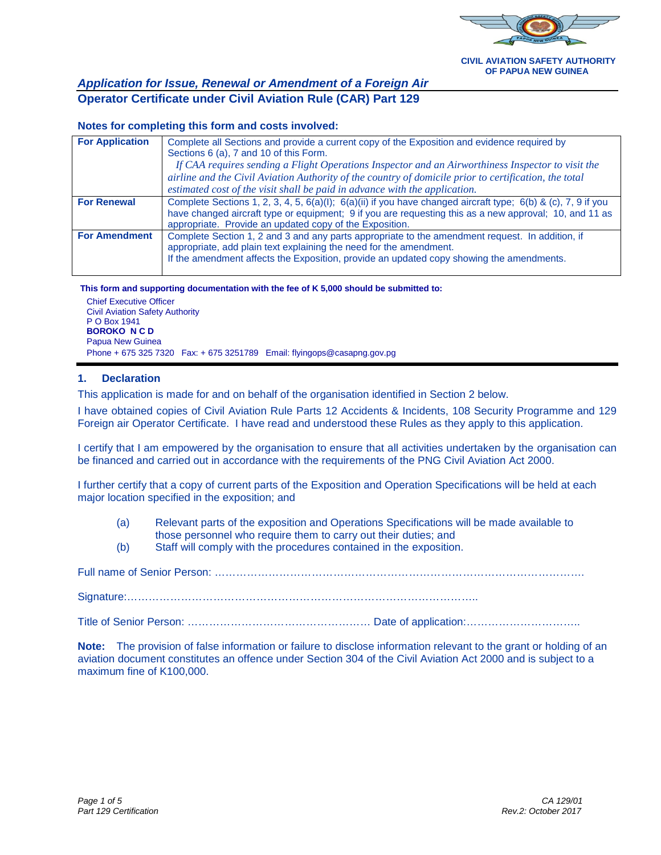

 **CIVIL AVIATION SAFETY AUTHORITY OF PAPUA NEW GUINEA**

### *Application for Issue, Renewal or Amendment of a Foreign Air* **Operator Certificate under Civil Aviation Rule (CAR) Part 129**

#### **Notes for completing this form and costs involved:**

| <b>For Application</b> | Complete all Sections and provide a current copy of the Exposition and evidence required by                   |
|------------------------|---------------------------------------------------------------------------------------------------------------|
|                        | Sections 6 (a), 7 and 10 of this Form.                                                                        |
|                        | If CAA requires sending a Flight Operations Inspector and an Airworthiness Inspector to visit the             |
|                        | airline and the Civil Aviation Authority of the country of domicile prior to certification, the total         |
|                        | estimated cost of the visit shall be paid in advance with the application.                                    |
| <b>For Renewal</b>     | Complete Sections 1, 2, 3, 4, 5, 6(a)(l); 6(a)(ii) if you have changed aircraft type; 6(b) & (c), 7, 9 if you |
|                        | have changed aircraft type or equipment; 9 if you are requesting this as a new approval; 10, and 11 as        |
|                        | appropriate. Provide an updated copy of the Exposition.                                                       |
| <b>For Amendment</b>   | Complete Section 1, 2 and 3 and any parts appropriate to the amendment request. In addition, if               |
|                        | appropriate, add plain text explaining the need for the amendment.                                            |
|                        | If the amendment affects the Exposition, provide an updated copy showing the amendments.                      |
|                        |                                                                                                               |

#### **This form and supporting documentation with the fee of K 5,000 should be submitted to:**

| <b>Chief Executive Officer</b>         |                                                                           |
|----------------------------------------|---------------------------------------------------------------------------|
| <b>Civil Aviation Safety Authority</b> |                                                                           |
| P O Box 1941                           |                                                                           |
| <b>BOROKO NCD</b>                      |                                                                           |
| <b>Papua New Guinea</b>                |                                                                           |
|                                        | Phone + 675 325 7320 Fax: $+$ 675 3251789 Email: flyingops@casapng.gov.pg |

#### **1. Declaration**

This application is made for and on behalf of the organisation identified in Section 2 below.

I have obtained copies of Civil Aviation Rule Parts 12 Accidents & Incidents, 108 Security Programme and 129 Foreign air Operator Certificate. I have read and understood these Rules as they apply to this application.

I certify that I am empowered by the organisation to ensure that all activities undertaken by the organisation can be financed and carried out in accordance with the requirements of the PNG Civil Aviation Act 2000.

I further certify that a copy of current parts of the Exposition and Operation Specifications will be held at each major location specified in the exposition; and

- (a) Relevant parts of the exposition and Operations Specifications will be made available to those personnel who require them to carry out their duties; and
- (b) Staff will comply with the procedures contained in the exposition.

Full name of Senior Person: ………………………………………………………………………………………….

Signature:……………………………………………………………………………………..

Title of Senior Person: …………………………………………… Date of application:…………………………..

**Note:** The provision of false information or failure to disclose information relevant to the grant or holding of an aviation document constitutes an offence under Section 304 of the Civil Aviation Act 2000 and is subject to a maximum fine of K100,000.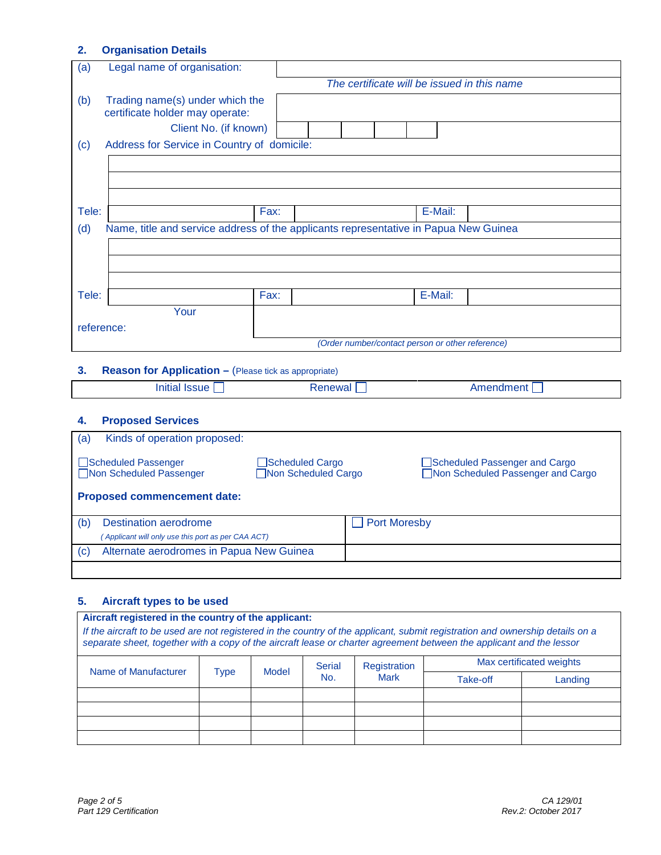# **2. Organisation Details**

| (a)                                            | Legal name of organisation:                                                          |                                               |         |                                                                    |                     |         |         |             |
|------------------------------------------------|--------------------------------------------------------------------------------------|-----------------------------------------------|---------|--------------------------------------------------------------------|---------------------|---------|---------|-------------|
|                                                |                                                                                      | The certificate will be issued in this name   |         |                                                                    |                     |         |         |             |
| (b)                                            | Trading name(s) under which the<br>certificate holder may operate:                   |                                               |         |                                                                    |                     |         |         |             |
|                                                | Client No. (if known)                                                                |                                               |         |                                                                    |                     |         |         |             |
| (c)                                            | Address for Service in Country of domicile:                                          |                                               |         |                                                                    |                     |         |         |             |
|                                                |                                                                                      |                                               |         |                                                                    |                     |         |         |             |
|                                                |                                                                                      |                                               |         |                                                                    |                     |         |         |             |
|                                                |                                                                                      |                                               |         |                                                                    |                     |         |         |             |
| Tele:                                          |                                                                                      | Fax:                                          |         |                                                                    |                     |         | E-Mail: |             |
| (d)                                            | Name, title and service address of the applicants representative in Papua New Guinea |                                               |         |                                                                    |                     |         |         |             |
|                                                |                                                                                      |                                               |         |                                                                    |                     |         |         |             |
|                                                |                                                                                      |                                               |         |                                                                    |                     |         |         |             |
|                                                |                                                                                      |                                               |         |                                                                    |                     |         |         |             |
| Tele:                                          |                                                                                      | Fax:                                          |         |                                                                    |                     | E-Mail: |         |             |
|                                                | Your                                                                                 |                                               |         |                                                                    |                     |         |         |             |
| reference:                                     |                                                                                      |                                               |         |                                                                    |                     |         |         |             |
|                                                | (Order number/contact person or other reference)                                     |                                               |         |                                                                    |                     |         |         |             |
| 3.                                             | <b>Reason for Application - (Please tick as appropriate)</b>                         |                                               |         |                                                                    |                     |         |         |             |
|                                                | Initial Issue $\Box$                                                                 |                                               | Renewal |                                                                    |                     |         |         | Amendment D |
|                                                |                                                                                      |                                               |         |                                                                    |                     |         |         |             |
| 4.                                             | <b>Proposed Services</b>                                                             |                                               |         |                                                                    |                     |         |         |             |
| (a)                                            | Kinds of operation proposed:                                                         |                                               |         |                                                                    |                     |         |         |             |
| Scheduled Passenger<br>Non Scheduled Passenger |                                                                                      | <b>Scheduled Cargo</b><br>Non Scheduled Cargo |         | Scheduled Passenger and Cargo<br>Non Scheduled Passenger and Cargo |                     |         |         |             |
|                                                | <b>Proposed commencement date:</b>                                                   |                                               |         |                                                                    |                     |         |         |             |
| (b)                                            | <b>Destination aerodrome</b><br>(Applicant will only use this port as per CAA ACT)   |                                               |         |                                                                    | <b>Port Moresby</b> |         |         |             |

# **5. Aircraft types to be used**

(c) Alternate aerodromes in Papua New Guinea

| Aircraft registered in the country of the applicant:                                                                                                                                                                                                  |             |       |               |                                    |          |                          |
|-------------------------------------------------------------------------------------------------------------------------------------------------------------------------------------------------------------------------------------------------------|-------------|-------|---------------|------------------------------------|----------|--------------------------|
| If the aircraft to be used are not registered in the country of the applicant, submit registration and ownership details on a<br>separate sheet, together with a copy of the aircraft lease or charter agreement between the applicant and the lessor |             |       |               |                                    |          |                          |
|                                                                                                                                                                                                                                                       |             |       | <b>Serial</b> | <b>Registration</b><br><b>Mark</b> |          | Max certificated weights |
| Name of Manufacturer                                                                                                                                                                                                                                  | <b>Type</b> | Model | No.           |                                    | Take-off | Landing                  |
|                                                                                                                                                                                                                                                       |             |       |               |                                    |          |                          |
|                                                                                                                                                                                                                                                       |             |       |               |                                    |          |                          |
|                                                                                                                                                                                                                                                       |             |       |               |                                    |          |                          |
|                                                                                                                                                                                                                                                       |             |       |               |                                    |          |                          |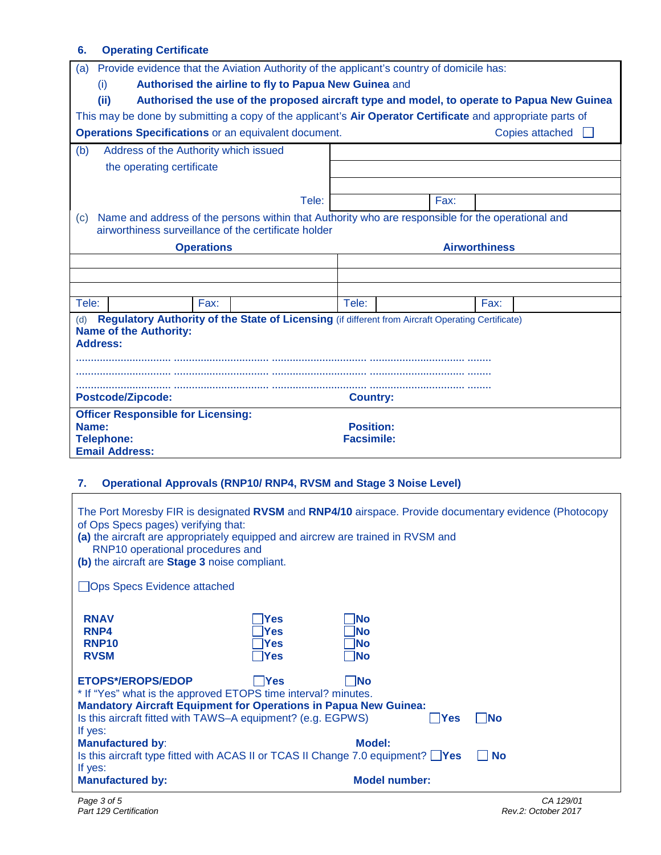## **6. Operating Certificate**

| Provide evidence that the Aviation Authority of the applicant's country of domicile has:<br>(a)            |                                                                                            |                      |                        |  |  |  |  |
|------------------------------------------------------------------------------------------------------------|--------------------------------------------------------------------------------------------|----------------------|------------------------|--|--|--|--|
| (i)                                                                                                        | Authorised the airline to fly to Papua New Guinea and                                      |                      |                        |  |  |  |  |
| (ii)                                                                                                       | Authorised the use of the proposed aircraft type and model, to operate to Papua New Guinea |                      |                        |  |  |  |  |
| This may be done by submitting a copy of the applicant's Air Operator Certificate and appropriate parts of |                                                                                            |                      |                        |  |  |  |  |
| <b>Operations Specifications or an equivalent document.</b>                                                |                                                                                            |                      | <b>Copies attached</b> |  |  |  |  |
| Address of the Authority which issued<br>(b)                                                               |                                                                                            |                      |                        |  |  |  |  |
| the operating certificate                                                                                  |                                                                                            |                      |                        |  |  |  |  |
|                                                                                                            |                                                                                            |                      |                        |  |  |  |  |
| Tele:                                                                                                      |                                                                                            | Fax:                 |                        |  |  |  |  |
| Name and address of the persons within that Authority who are responsible for the operational and<br>(c)   |                                                                                            |                      |                        |  |  |  |  |
| airworthiness surveillance of the certificate holder                                                       |                                                                                            |                      |                        |  |  |  |  |
| <b>Operations</b>                                                                                          |                                                                                            | <b>Airworthiness</b> |                        |  |  |  |  |
|                                                                                                            |                                                                                            |                      |                        |  |  |  |  |
|                                                                                                            |                                                                                            |                      |                        |  |  |  |  |
|                                                                                                            |                                                                                            |                      |                        |  |  |  |  |
| Tele:<br>Fax:                                                                                              | Tele:                                                                                      | Fax:                 |                        |  |  |  |  |
| Regulatory Authority of the State of Licensing (if different from Aircraft Operating Certificate)<br>(d)   |                                                                                            |                      |                        |  |  |  |  |
| <b>Name of the Authority:</b>                                                                              |                                                                                            |                      |                        |  |  |  |  |
| <b>Address:</b>                                                                                            |                                                                                            |                      |                        |  |  |  |  |
|                                                                                                            |                                                                                            |                      |                        |  |  |  |  |
|                                                                                                            |                                                                                            |                      |                        |  |  |  |  |
| <b>Postcode/Zipcode:</b>                                                                                   | <b>Country:</b>                                                                            |                      |                        |  |  |  |  |
| <b>Officer Responsible for Licensing:</b>                                                                  |                                                                                            |                      |                        |  |  |  |  |
| Name:                                                                                                      | <b>Position:</b>                                                                           |                      |                        |  |  |  |  |
| <b>Telephone:</b><br><b>Email Address:</b>                                                                 | <b>Facsimile:</b>                                                                          |                      |                        |  |  |  |  |
|                                                                                                            |                                                                                            |                      |                        |  |  |  |  |

## **7. Operational Approvals (RNP10/ RNP4, RVSM and Stage 3 Noise Level)**

| The Port Moresby FIR is designated RVSM and RNP4/10 airspace. Provide documentary evidence (Photocopy<br>of Ops Specs pages) verifying that:<br>(a) the aircraft are appropriately equipped and aircrew are trained in RVSM and<br>RNP10 operational procedures and<br>(b) the aircraft are Stage 3 noise compliant. |                          |                                       |            |  |  |
|----------------------------------------------------------------------------------------------------------------------------------------------------------------------------------------------------------------------------------------------------------------------------------------------------------------------|--------------------------|---------------------------------------|------------|--|--|
| Ops Specs Evidence attached                                                                                                                                                                                                                                                                                          |                          |                                       |            |  |  |
| <b>RNAV</b><br>RNP4<br><b>RNP10</b><br><b>RVSM</b>                                                                                                                                                                                                                                                                   | Yes<br>Yes<br>Yes<br>Yes | lNo<br>lNo<br>INo<br><b>No</b>        |            |  |  |
| <b>ETOPS*/EROPS/EDOP</b><br>* If "Yes" what is the approved ETOPS time interval? minutes.<br><b>Mandatory Aircraft Equipment for Operations in Papua New Guinea:</b><br>Is this aircraft fitted with TAWS-A equipment? (e.g. EGPWS)<br>If yes:                                                                       | <b>PYes</b>              | l lNo<br><b>PYes</b>                  | <b>INo</b> |  |  |
| <b>Manufactured by:</b><br>Is this aircraft type fitted with ACAS II or TCAS II Change 7.0 equipment? $\Box$ Yes<br>If yes:<br><b>Manufactured by:</b>                                                                                                                                                               |                          | <b>Model:</b><br><b>Model number:</b> | <b>No</b>  |  |  |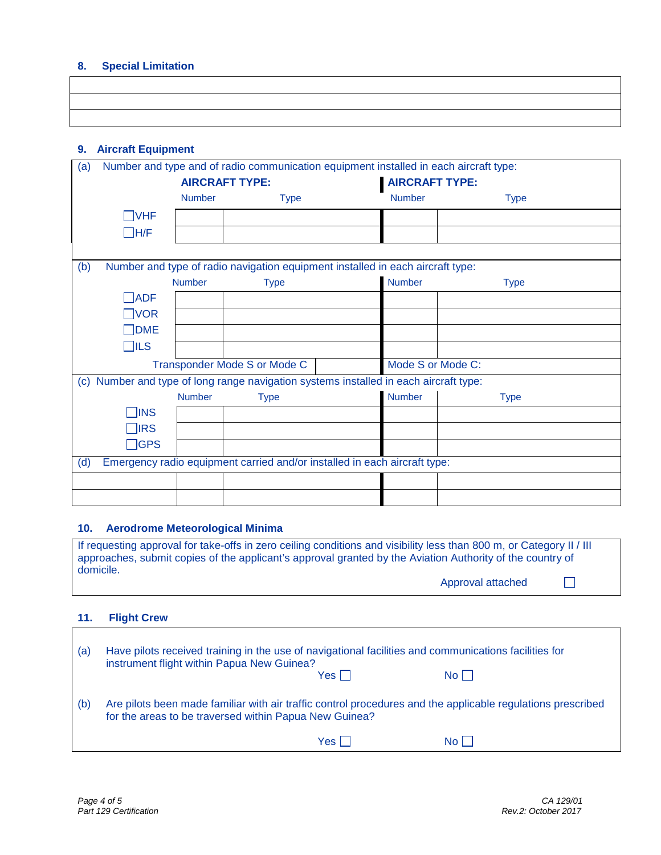## **8. Special Limitation**

| <u> 2008 - Andrea San Andrea Andrea Andrea Andrea Andrea Andrea Andrea Andrea Andrea Andrea Andrea Andrea Andrea</u> |  |  |
|----------------------------------------------------------------------------------------------------------------------|--|--|
|                                                                                                                      |  |  |
| <u> 2008 - Andrea San Andrea Andrea Andrea Andrea Andrea Andrea Andrea Andrea Andrea Andrea Andrea Andrea Andrea</u> |  |  |
|                                                                                                                      |  |  |

## **9. Aircraft Equipment**

| Number and type and of radio communication equipment installed in each aircraft type:<br>(a) |                                                                           |                                                                                |  |                       |             |  |
|----------------------------------------------------------------------------------------------|---------------------------------------------------------------------------|--------------------------------------------------------------------------------|--|-----------------------|-------------|--|
|                                                                                              | <b>AIRCRAFT TYPE:</b>                                                     |                                                                                |  | <b>AIRCRAFT TYPE:</b> |             |  |
|                                                                                              | <b>Number</b>                                                             | <b>Type</b>                                                                    |  | <b>Number</b>         | <b>Type</b> |  |
| $\Box$ VHF                                                                                   |                                                                           |                                                                                |  |                       |             |  |
| $\neg$ H/F                                                                                   |                                                                           |                                                                                |  |                       |             |  |
|                                                                                              |                                                                           |                                                                                |  |                       |             |  |
| (b)                                                                                          |                                                                           | Number and type of radio navigation equipment installed in each aircraft type: |  |                       |             |  |
|                                                                                              | <b>Number</b>                                                             | <b>Type</b>                                                                    |  | <b>Number</b>         | <b>Type</b> |  |
| $\Box$ ADF                                                                                   |                                                                           |                                                                                |  |                       |             |  |
| $\Box$ VOR                                                                                   |                                                                           |                                                                                |  |                       |             |  |
| $\Box$ DME                                                                                   |                                                                           |                                                                                |  |                       |             |  |
| $\exists$ ILS                                                                                |                                                                           |                                                                                |  |                       |             |  |
|                                                                                              | Transponder Mode S or Mode C                                              |                                                                                |  | Mode S or Mode C:     |             |  |
| Number and type of long range navigation systems installed in each aircraft type:<br>(c)     |                                                                           |                                                                                |  |                       |             |  |
|                                                                                              | <b>Number</b>                                                             | <b>Type</b>                                                                    |  | <b>Number</b>         | <b>Type</b> |  |
| $\Box$ INS                                                                                   |                                                                           |                                                                                |  |                       |             |  |
| <b>TIRS</b>                                                                                  |                                                                           |                                                                                |  |                       |             |  |
| $\Box$ GPS                                                                                   |                                                                           |                                                                                |  |                       |             |  |
| (d)                                                                                          | Emergency radio equipment carried and/or installed in each aircraft type: |                                                                                |  |                       |             |  |
|                                                                                              |                                                                           |                                                                                |  |                       |             |  |
|                                                                                              |                                                                           |                                                                                |  |                       |             |  |

### **10. Aerodrome Meteorological Minima**

| If requesting approval for take-offs in zero ceiling conditions and visibility less than 800 m, or Category II / III<br>approaches, submit copies of the applicant's approval granted by the Aviation Authority of the country of |                   |  |
|-----------------------------------------------------------------------------------------------------------------------------------------------------------------------------------------------------------------------------------|-------------------|--|
| domicile.                                                                                                                                                                                                                         |                   |  |
|                                                                                                                                                                                                                                   | Approval attached |  |

### **11. Flight Crew**

| (a) | Have pilots received training in the use of navigational facilities and communications facilities for<br>instrument flight within Papua New Guinea?<br>$No$ $\vert$ $\vert$<br>Yes I I |
|-----|----------------------------------------------------------------------------------------------------------------------------------------------------------------------------------------|
| (b) | Are pilots been made familiar with air traffic control procedures and the applicable regulations prescribed<br>for the areas to be traversed within Papua New Guinea?                  |
|     | Yes I<br>$N$ ol $\rightarrow$                                                                                                                                                          |